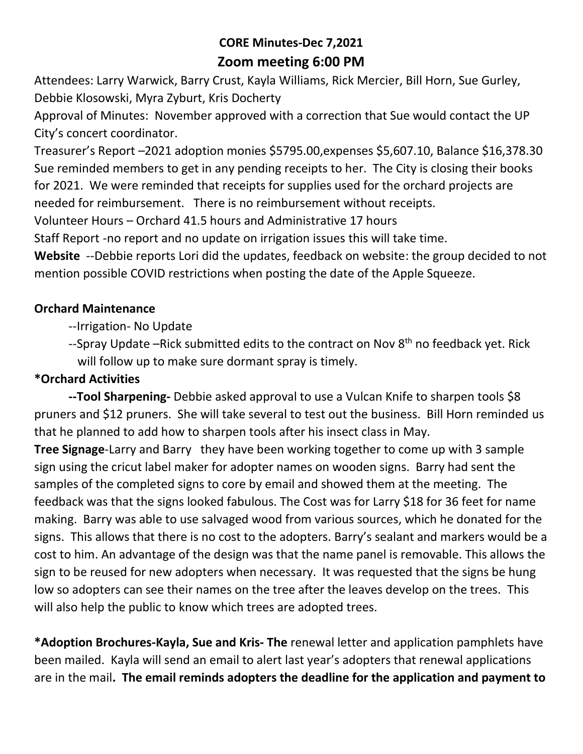# **CORE Minutes-Dec 7,2021 Zoom meeting 6:00 PM**

Attendees: Larry Warwick, Barry Crust, Kayla Williams, Rick Mercier, Bill Horn, Sue Gurley, Debbie Klosowski, Myra Zyburt, Kris Docherty

Approval of Minutes: November approved with a correction that Sue would contact the UP City's concert coordinator.

Treasurer's Report –2021 adoption monies \$5795.00,expenses \$5,607.10, Balance \$16,378.30 Sue reminded members to get in any pending receipts to her. The City is closing their books for 2021. We were reminded that receipts for supplies used for the orchard projects are needed for reimbursement. There is no reimbursement without receipts.

Volunteer Hours – Orchard 41.5 hours and Administrative 17 hours

Staff Report -no report and no update on irrigation issues this will take time.

**Website** --Debbie reports Lori did the updates, feedback on website: the group decided to not mention possible COVID restrictions when posting the date of the Apple Squeeze.

#### **Orchard Maintenance**

- --Irrigation- No Update
- --Spray Update –Rick submitted edits to the contract on Nov  $8<sup>th</sup>$  no feedback yet. Rick will follow up to make sure dormant spray is timely.

### **\*Orchard Activities**

**--Tool Sharpening-** Debbie asked approval to use a Vulcan Knife to sharpen tools \$8 pruners and \$12 pruners. She will take several to test out the business. Bill Horn reminded us that he planned to add how to sharpen tools after his insect class in May.

**Tree Signage**-Larry and Barry they have been working together to come up with 3 sample sign using the cricut label maker for adopter names on wooden signs. Barry had sent the samples of the completed signs to core by email and showed them at the meeting. The feedback was that the signs looked fabulous. The Cost was for Larry \$18 for 36 feet for name making. Barry was able to use salvaged wood from various sources, which he donated for the signs. This allows that there is no cost to the adopters. Barry's sealant and markers would be a cost to him. An advantage of the design was that the name panel is removable. This allows the sign to be reused for new adopters when necessary. It was requested that the signs be hung low so adopters can see their names on the tree after the leaves develop on the trees. This will also help the public to know which trees are adopted trees.

**\*Adoption Brochures-Kayla, Sue and Kris- The** renewal letter and application pamphlets have been mailed. Kayla will send an email to alert last year's adopters that renewal applications are in the mail**. The email reminds adopters the deadline for the application and payment to**